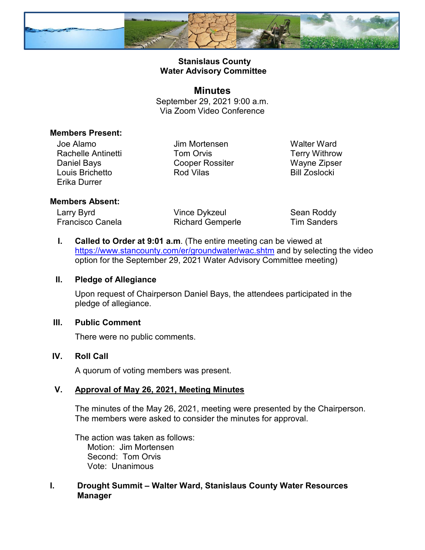

# **Stanislaus County Water Advisory Committee**

**Minutes** September 29, 2021 9:00 a.m. Via Zoom Video Conference

### **Members Present:**

Joe Alamo Rachelle Antinetti Daniel Bays Louis Brichetto Erika Durrer

Jim Mortensen Tom Orvis Cooper Rossiter Rod Vilas

Walter Ward Terry Withrow Wayne Zipser Bill Zoslocki

#### **Members Absent:**

Larry Byrd Francisco Canela Vince Dykzeul Richard Gemperle Sean Roddy Tim Sanders

**I. Called to Order at 9:01 a.m**. (The entire meeting can be viewed at <https://www.stancounty.com/er/groundwater/wac.shtm> and by selecting the video option for the September 29, 2021 Water Advisory Committee meeting)

#### **II. Pledge of Allegiance**

Upon request of Chairperson Daniel Bays, the attendees participated in the pledge of allegiance.

### **III. Public Comment**

There were no public comments.

### **IV. Roll Call**

A quorum of voting members was present.

### **V. Approval of May 26, 2021, Meeting Minutes**

The minutes of the May 26, 2021, meeting were presented by the Chairperson. The members were asked to consider the minutes for approval.

The action was taken as follows: Motion: Jim Mortensen Second: Tom Orvis Vote: Unanimous

# **I. Drought Summit – Walter Ward, Stanislaus County Water Resources Manager**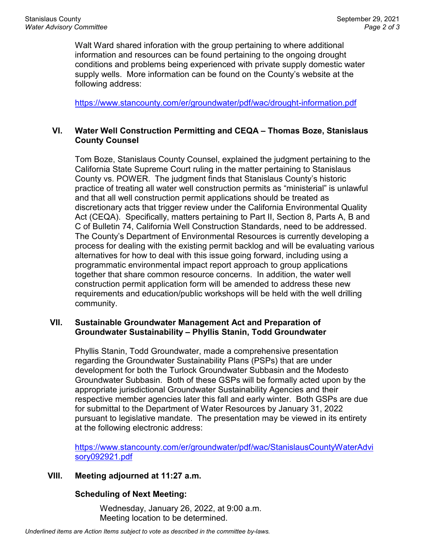Walt Ward shared inforation with the group pertaining to where additional information and resources can be found pertaining to the ongoing drought conditions and problems being experienced with private supply domestic water supply wells. More information can be found on the County's website at the following address:

<https://www.stancounty.com/er/groundwater/pdf/wac/drought-information.pdf>

### **VI. Water Well Construction Permitting and CEQA – Thomas Boze, Stanislaus County Counsel**

Tom Boze, Stanislaus County Counsel, explained the judgment pertaining to the California State Supreme Court ruling in the matter pertaining to Stanislaus County vs. POWER. The judgment finds that Stanislaus County's historic practice of treating all water well construction permits as "ministerial" is unlawful and that all well construction permit applications should be treated as discretionary acts that trigger review under the California Environmental Quality Act (CEQA). Specifically, matters pertaining to Part II, Section 8, Parts A, B and C of Bulletin 74, California Well Construction Standards, need to be addressed. The County's Department of Environmental Resources is currently developing a process for dealing with the existing permit backlog and will be evaluating various alternatives for how to deal with this issue going forward, including using a programmatic environmental impact report approach to group applications together that share common resource concerns. In addition, the water well construction permit application form will be amended to address these new requirements and education/public workshops will be held with the well drilling community.

### **VII. Sustainable Groundwater Management Act and Preparation of Groundwater Sustainability – Phyllis Stanin, Todd Groundwater**

Phyllis Stanin, Todd Groundwater, made a comprehensive presentation regarding the Groundwater Sustainability Plans (PSPs) that are under development for both the Turlock Groundwater Subbasin and the Modesto Groundwater Subbasin. Both of these GSPs will be formally acted upon by the appropriate jurisdictional Groundwater Sustainability Agencies and their respective member agencies later this fall and early winter. Both GSPs are due for submittal to the Department of Water Resources by January 31, 2022 pursuant to legislative mandate. The presentation may be viewed in its entirety at the following electronic address:

[https://www.stancounty.com/er/groundwater/pdf/wac/StanislausCountyWaterAdvi](https://www.stancounty.com/er/groundwater/pdf/wac/StanislausCountyWaterAdvisory092921.pdf) [sory092921.pdf](https://www.stancounty.com/er/groundwater/pdf/wac/StanislausCountyWaterAdvisory092921.pdf)

### **VIII. Meeting adjourned at 11:27 a.m.**

# **Scheduling of Next Meeting:**

Wednesday, January 26, 2022, at 9:00 a.m. Meeting location to be determined.